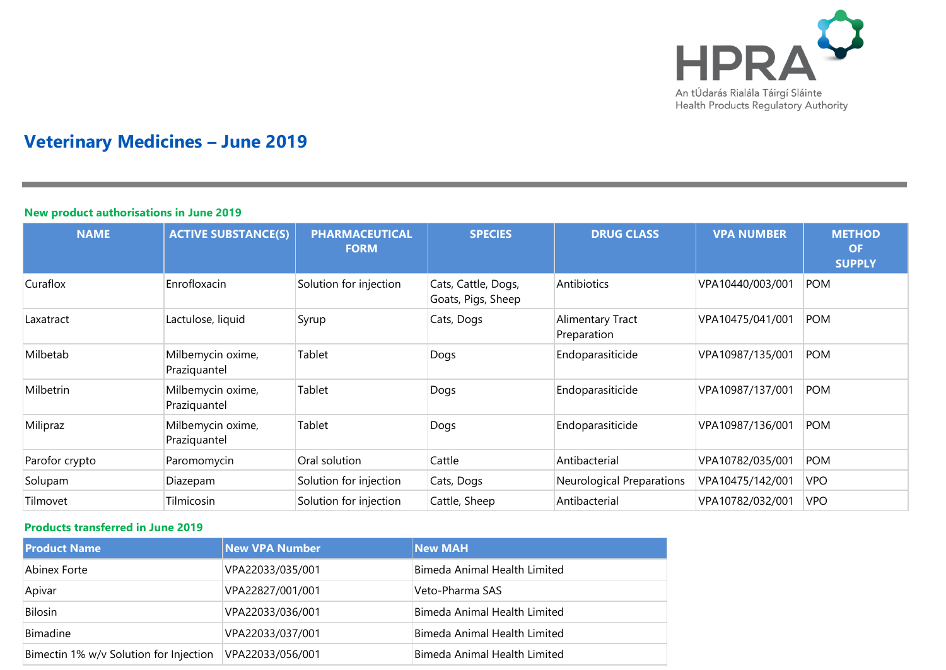

## **Veterinary Medicines – June 2019**

## **New product authorisations in June 2019**

| <b>NAME</b>    | <b>ACTIVE SUBSTANCE(S)</b>        | <b>PHARMACEUTICAL</b><br><b>FORM</b> | <b>SPECIES</b>                            | <b>DRUG CLASS</b>               | <b>VPA NUMBER</b> | <b>METHOD</b><br><b>OF</b><br><b>SUPPLY</b> |
|----------------|-----------------------------------|--------------------------------------|-------------------------------------------|---------------------------------|-------------------|---------------------------------------------|
| Curaflox       | Enrofloxacin                      | Solution for injection               | Cats, Cattle, Dogs,<br>Goats, Pigs, Sheep | Antibiotics                     | VPA10440/003/001  | <b>POM</b>                                  |
| Laxatract      | Lactulose, liquid                 | Syrup                                | Cats, Dogs                                | Alimentary Tract<br>Preparation | VPA10475/041/001  | <b>POM</b>                                  |
| Milbetab       | Milbemycin oxime,<br>Praziquantel | Tablet                               | Dogs                                      | Endoparasiticide                | VPA10987/135/001  | <b>POM</b>                                  |
| Milbetrin      | Milbemycin oxime,<br>Praziquantel | Tablet                               | Dogs                                      | Endoparasiticide                | VPA10987/137/001  | <b>POM</b>                                  |
| Milipraz       | Milbemycin oxime,<br>Praziquantel | Tablet                               | Dogs                                      | Endoparasiticide                | VPA10987/136/001  | <b>POM</b>                                  |
| Parofor crypto | Paromomycin                       | Oral solution                        | Cattle                                    | Antibacterial                   | VPA10782/035/001  | <b>POM</b>                                  |
| Solupam        | Diazepam                          | Solution for injection               | Cats, Dogs                                | Neurological Preparations       | VPA10475/142/001  | <b>VPO</b>                                  |
| Tilmovet       | Tilmicosin                        | Solution for injection               | Cattle, Sheep                             | Antibacterial                   | VPA10782/032/001  | <b>VPO</b>                                  |

## **Products transferred in June 2019**

| <b>Product Name</b>                    | <b>New VPA Number</b> | <b>New MAH</b>               |
|----------------------------------------|-----------------------|------------------------------|
| Abinex Forte                           | VPA22033/035/001      | Bimeda Animal Health Limited |
| Apivar                                 | VPA22827/001/001      | Veto-Pharma SAS              |
| <b>Bilosin</b>                         | VPA22033/036/001      | Bimeda Animal Health Limited |
| Bimadine                               | VPA22033/037/001      | Bimeda Animal Health Limited |
| Bimectin 1% w/v Solution for Injection | VPA22033/056/001      | Bimeda Animal Health Limited |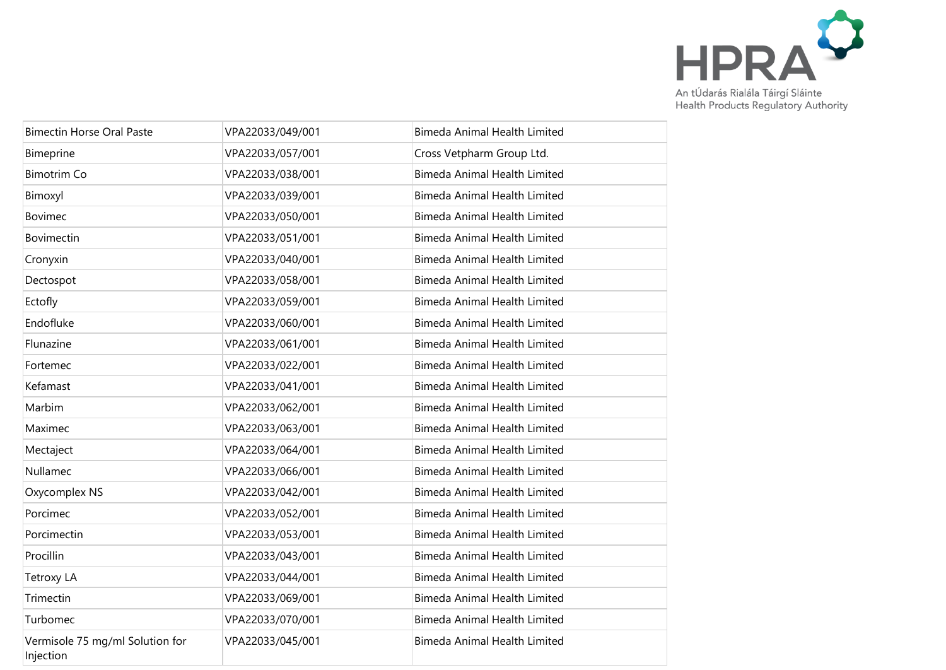

| <b>Bimectin Horse Oral Paste</b>             | VPA22033/049/001 | Bimeda Animal Health Limited        |
|----------------------------------------------|------------------|-------------------------------------|
| Bimeprine                                    | VPA22033/057/001 | Cross Vetpharm Group Ltd.           |
| <b>Bimotrim Co</b>                           | VPA22033/038/001 | <b>Bimeda Animal Health Limited</b> |
| Bimoxyl                                      | VPA22033/039/001 | Bimeda Animal Health Limited        |
| Bovimec                                      | VPA22033/050/001 | <b>Bimeda Animal Health Limited</b> |
| Bovimectin                                   | VPA22033/051/001 | <b>Bimeda Animal Health Limited</b> |
| Cronyxin                                     | VPA22033/040/001 | <b>Bimeda Animal Health Limited</b> |
| Dectospot                                    | VPA22033/058/001 | <b>Bimeda Animal Health Limited</b> |
| Ectofly                                      | VPA22033/059/001 | <b>Bimeda Animal Health Limited</b> |
| Endofluke                                    | VPA22033/060/001 | <b>Bimeda Animal Health Limited</b> |
| Flunazine                                    | VPA22033/061/001 | <b>Bimeda Animal Health Limited</b> |
| Fortemec                                     | VPA22033/022/001 | <b>Bimeda Animal Health Limited</b> |
| Kefamast                                     | VPA22033/041/001 | <b>Bimeda Animal Health Limited</b> |
| Marbim                                       | VPA22033/062/001 | <b>Bimeda Animal Health Limited</b> |
| Maximec                                      | VPA22033/063/001 | <b>Bimeda Animal Health Limited</b> |
| Mectaject                                    | VPA22033/064/001 | <b>Bimeda Animal Health Limited</b> |
| Nullamec                                     | VPA22033/066/001 | <b>Bimeda Animal Health Limited</b> |
| Oxycomplex NS                                | VPA22033/042/001 | <b>Bimeda Animal Health Limited</b> |
| Porcimec                                     | VPA22033/052/001 | <b>Bimeda Animal Health Limited</b> |
| Porcimectin                                  | VPA22033/053/001 | <b>Bimeda Animal Health Limited</b> |
| Procillin                                    | VPA22033/043/001 | <b>Bimeda Animal Health Limited</b> |
| <b>Tetroxy LA</b>                            | VPA22033/044/001 | <b>Bimeda Animal Health Limited</b> |
| Trimectin                                    | VPA22033/069/001 | <b>Bimeda Animal Health Limited</b> |
| Turbomec                                     | VPA22033/070/001 | Bimeda Animal Health Limited        |
| Vermisole 75 mg/ml Solution for<br>Injection | VPA22033/045/001 | <b>Bimeda Animal Health Limited</b> |